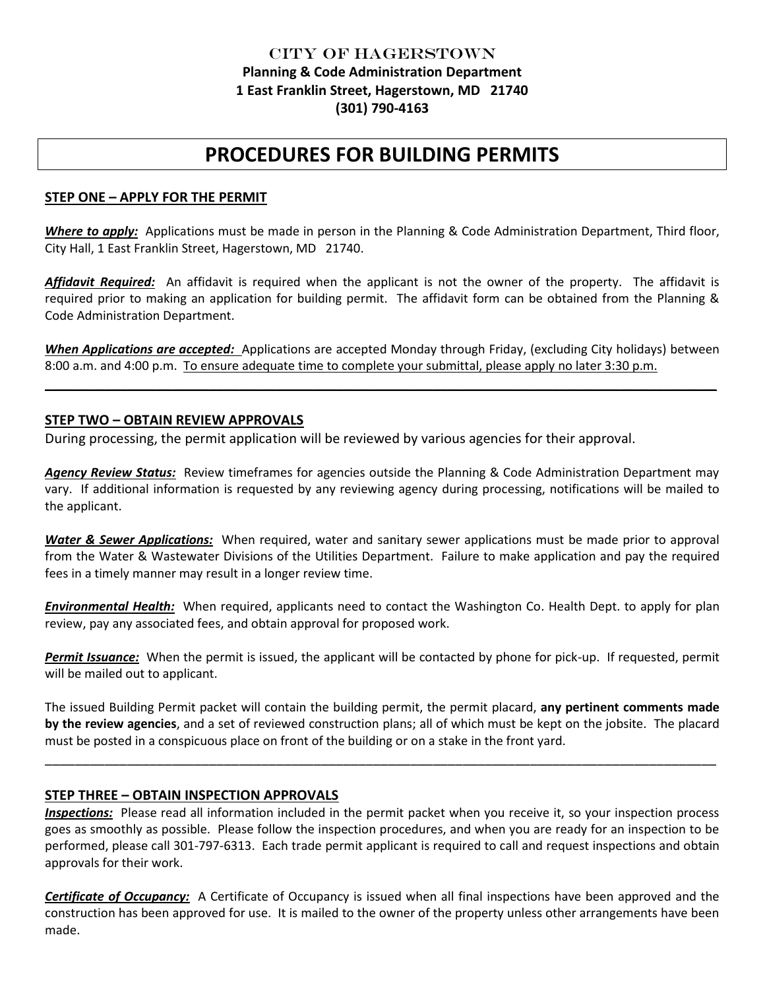## City of Hagerstown **Planning & Code Administration Department 1 East Franklin Street, Hagerstown, MD 21740 (301) 790-4163**

# **PROCEDURES FOR BUILDING PERMITS**

#### **STEP ONE – APPLY FOR THE PERMIT**

*Where to apply:* Applications must be made in person in the Planning & Code Administration Department, Third floor, City Hall, 1 East Franklin Street, Hagerstown, MD 21740.

*Affidavit Required:* An affidavit is required when the applicant is not the owner of the property. The affidavit is required prior to making an application for building permit. The affidavit form can be obtained from the Planning & Code Administration Department.

*When Applications are accepted:* Applications are accepted Monday through Friday, (excluding City holidays) between 8:00 a.m. and 4:00 p.m. To ensure adequate time to complete your submittal, please apply no later 3:30 p.m.

 $\mathcal{L} = \{ \mathcal{L} = \{ \mathcal{L} = \mathcal{L} \} \cup \{ \mathcal{L} = \{ \mathcal{L} = \mathcal{L} \} \cup \{ \mathcal{L} = \{ \mathcal{L} = \mathcal{L} \} \cup \{ \mathcal{L} = \{ \mathcal{L} = \mathcal{L} \} \cup \{ \mathcal{L} = \{ \mathcal{L} = \mathcal{L} \} \cup \{ \mathcal{L} = \{ \mathcal{L} = \mathcal{L} \} \cup \{ \mathcal{L} = \{ \mathcal{L} = \mathcal{L} \} \cup \{ \mathcal{L} = \{ \mathcal{L}$ 

#### **STEP TWO – OBTAIN REVIEW APPROVALS**

During processing, the permit application will be reviewed by various agencies for their approval.

*Agency Review Status:* Review timeframes for agencies outside the Planning & Code Administration Department may vary. If additional information is requested by any reviewing agency during processing, notifications will be mailed to the applicant.

*Water & Sewer Applications:* When required, water and sanitary sewer applications must be made prior to approval from the Water & Wastewater Divisions of the Utilities Department. Failure to make application and pay the required fees in a timely manner may result in a longer review time.

*Environmental Health:* When required, applicants need to contact the Washington Co. Health Dept. to apply for plan review, pay any associated fees, and obtain approval for proposed work.

*Permit Issuance:* When the permit is issued, the applicant will be contacted by phone for pick-up. If requested, permit will be mailed out to applicant.

The issued Building Permit packet will contain the building permit, the permit placard, **any pertinent comments made by the review agencies**, and a set of reviewed construction plans; all of which must be kept on the jobsite. The placard must be posted in a conspicuous place on front of the building or on a stake in the front yard.

\_\_\_\_\_\_\_\_\_\_\_\_\_\_\_\_\_\_\_\_\_\_\_\_\_\_\_\_\_\_\_\_\_\_\_\_\_\_\_\_\_\_\_\_\_\_\_\_\_\_\_\_\_\_\_\_\_\_\_\_\_\_\_\_\_\_\_\_\_\_\_\_\_\_\_\_\_\_\_\_\_\_\_\_\_\_\_\_\_\_

#### **STEP THREE – OBTAIN INSPECTION APPROVALS**

*Inspections:* Please read all information included in the permit packet when you receive it, so your inspection process goes as smoothly as possible. Please follow the inspection procedures, and when you are ready for an inspection to be performed, please call 301-797-6313. Each trade permit applicant is required to call and request inspections and obtain approvals for their work.

*Certificate of Occupancy:* A Certificate of Occupancy is issued when all final inspections have been approved and the construction has been approved for use. It is mailed to the owner of the property unless other arrangements have been made.